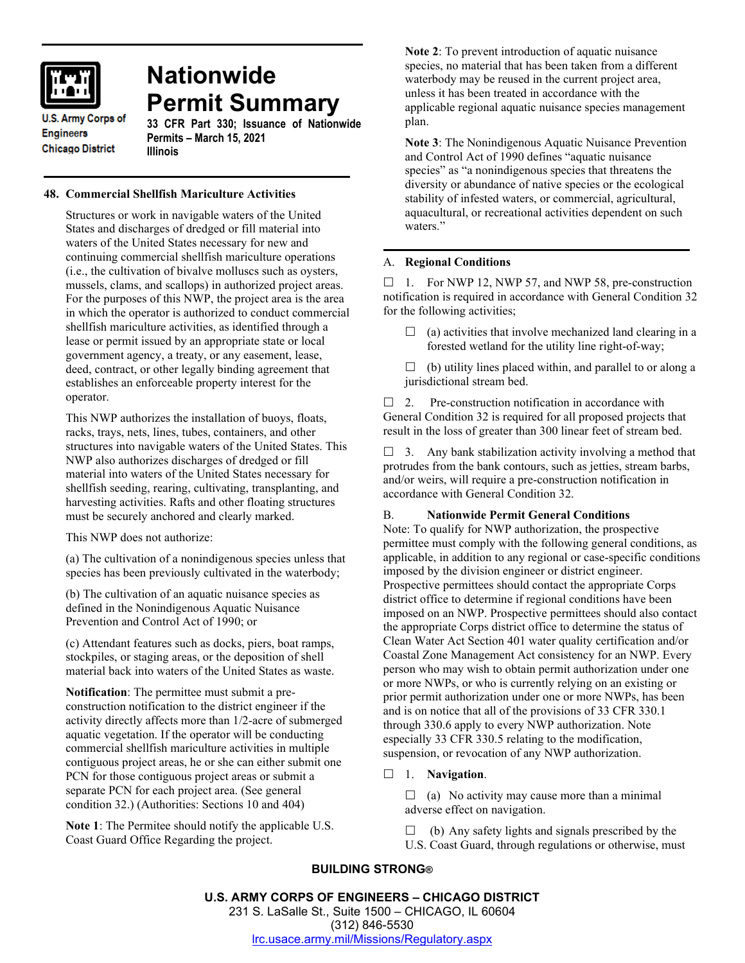

# **Nationwide Permit Summary**

**U.S. Army Corps of Engineers Chicago District** 

## **33 CFR Part 330; Issuance of Nationwide Permits – March 15, 2021 Illinois**

## **48. Commercial Shellfish Mariculture Activities**

Structures or work in navigable waters of the United States and discharges of dredged or fill material into waters of the United States necessary for new and continuing commercial shellfish mariculture operations (i.e., the cultivation of bivalve molluscs such as oysters, mussels, clams, and scallops) in authorized project areas. For the purposes of this NWP, the project area is the area in which the operator is authorized to conduct commercial shellfish mariculture activities, as identified through a lease or permit issued by an appropriate state or local government agency, a treaty, or any easement, lease, deed, contract, or other legally binding agreement that establishes an enforceable property interest for the operator.

This NWP authorizes the installation of buoys, floats, racks, trays, nets, lines, tubes, containers, and other structures into navigable waters of the United States. This NWP also authorizes discharges of dredged or fill material into waters of the United States necessary for shellfish seeding, rearing, cultivating, transplanting, and harvesting activities. Rafts and other floating structures must be securely anchored and clearly marked.

This NWP does not authorize:

(a) The cultivation of a nonindigenous species unless that species has been previously cultivated in the waterbody;

(b) The cultivation of an aquatic nuisance species as defined in the Nonindigenous Aquatic Nuisance Prevention and Control Act of 1990; or

(c) Attendant features such as docks, piers, boat ramps, stockpiles, or staging areas, or the deposition of shell material back into waters of the United States as waste.

**Notification**: The permittee must submit a preconstruction notification to the district engineer if the activity directly affects more than 1/2-acre of submerged aquatic vegetation. If the operator will be conducting commercial shellfish mariculture activities in multiple contiguous project areas, he or she can either submit one PCN for those contiguous project areas or submit a separate PCN for each project area. (See general condition 32.) (Authorities: Sections 10 and 404)

**Note 1**: The Permitee should notify the applicable U.S. Coast Guard Office Regarding the project.

**Note 2**: To prevent introduction of aquatic nuisance species, no material that has been taken from a different waterbody may be reused in the current project area, unless it has been treated in accordance with the applicable regional aquatic nuisance species management plan.

**Note 3**: The Nonindigenous Aquatic Nuisance Prevention and Control Act of 1990 defines "aquatic nuisance species" as "a nonindigenous species that threatens the diversity or abundance of native species or the ecological stability of infested waters, or commercial, agricultural, aquacultural, or recreational activities dependent on such waters."

## A. **Regional Conditions**

 $\Box$  1. For NWP 12, NWP 57, and NWP 58, pre-construction notification is required in accordance with General Condition 32 for the following activities;

 $\Box$  (a) activities that involve mechanized land clearing in a forested wetland for the utility line right-of-way;

 $\Box$  (b) utility lines placed within, and parallel to or along a jurisdictional stream bed.

 $\Box$  2. Pre-construction notification in accordance with General Condition 32 is required for all proposed projects that result in the loss of greater than 300 linear feet of stream bed.

 $\Box$  3. Any bank stabilization activity involving a method that protrudes from the bank contours, such as jetties, stream barbs, and/or weirs, will require a pre-construction notification in accordance with General Condition 32.

## B. **Nationwide Permit General Conditions**

Note: To qualify for NWP authorization, the prospective permittee must comply with the following general conditions, as applicable, in addition to any regional or case-specific conditions imposed by the division engineer or district engineer. Prospective permittees should contact the appropriate Corps district office to determine if regional conditions have been imposed on an NWP. Prospective permittees should also contact the appropriate Corps district office to determine the status of Clean Water Act Section 401 water quality certification and/or Coastal Zone Management Act consistency for an NWP. Every person who may wish to obtain permit authorization under one or more NWPs, or who is currently relying on an existing or prior permit authorization under one or more NWPs, has been and is on notice that all of the provisions of 33 CFR 330.1 through 330.6 apply to every NWP authorization. Note especially 33 CFR 330.5 relating to the modification, suspension, or revocation of any NWP authorization.

## 1. **Navigation**.

 $\Box$  (a) No activity may cause more than a minimal adverse effect on navigation.

 $\Box$  (b) Any safety lights and signals prescribed by the U.S. Coast Guard, through regulations or otherwise, must

## **BUILDING STRONG®**

**U.S. ARMY CORPS OF ENGINEERS – CHICAGO DISTRICT** 231 S. LaSalle St., Suite 1500 – CHICAGO, IL 60604 (312) 846-5530 [lrc.usace.army.mil/Missions/Regulatory.aspx](https://www.lrc.usace.army.mil/Missions/Regulatory.aspx)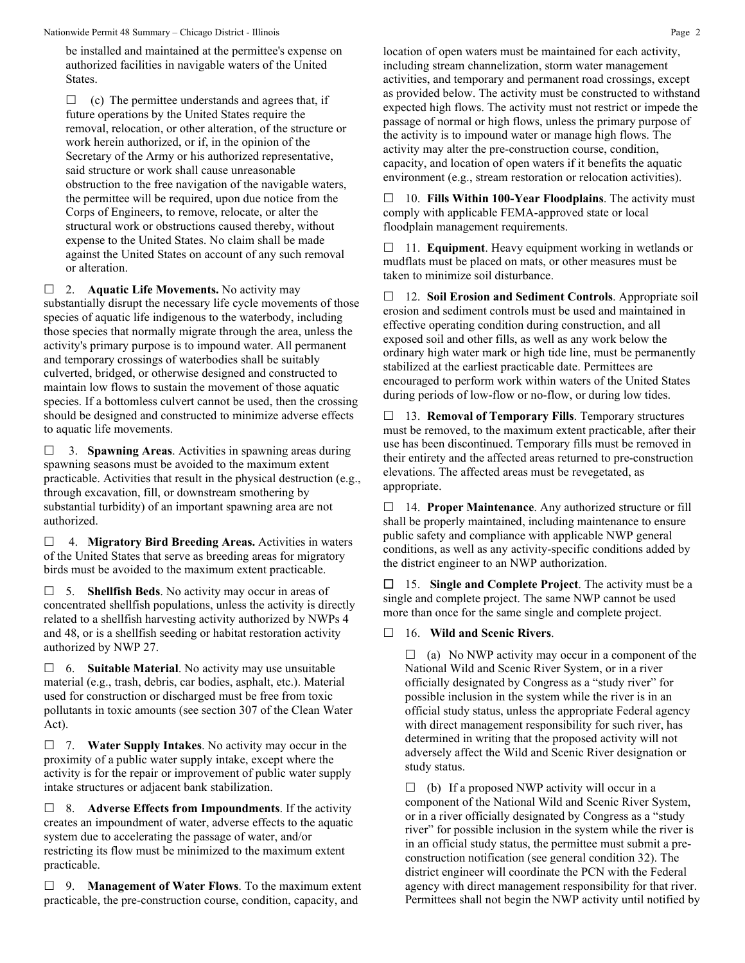Nationwide Permit 48 Summary – Chicago District - Illinois Page 2

be installed and maintained at the permittee's expense on authorized facilities in navigable waters of the United States.

 $\Box$  (c) The permittee understands and agrees that, if future operations by the United States require the removal, relocation, or other alteration, of the structure or work herein authorized, or if, in the opinion of the Secretary of the Army or his authorized representative, said structure or work shall cause unreasonable obstruction to the free navigation of the navigable waters, the permittee will be required, upon due notice from the Corps of Engineers, to remove, relocate, or alter the structural work or obstructions caused thereby, without expense to the United States. No claim shall be made against the United States on account of any such removal or alteration.

□ 2. **Aquatic Life Movements.** No activity may substantially disrupt the necessary life cycle movements of those species of aquatic life indigenous to the waterbody, including those species that normally migrate through the area, unless the activity's primary purpose is to impound water. All permanent and temporary crossings of waterbodies shall be suitably culverted, bridged, or otherwise designed and constructed to maintain low flows to sustain the movement of those aquatic species. If a bottomless culvert cannot be used, then the crossing should be designed and constructed to minimize adverse effects to aquatic life movements.

 3. **Spawning Areas**. Activities in spawning areas during spawning seasons must be avoided to the maximum extent practicable. Activities that result in the physical destruction (e.g., through excavation, fill, or downstream smothering by substantial turbidity) of an important spawning area are not authorized.

 4. **Migratory Bird Breeding Areas.** Activities in waters of the United States that serve as breeding areas for migratory birds must be avoided to the maximum extent practicable.

 5. **Shellfish Beds**. No activity may occur in areas of concentrated shellfish populations, unless the activity is directly related to a shellfish harvesting activity authorized by NWPs 4 and 48, or is a shellfish seeding or habitat restoration activity authorized by NWP 27.

 6. **Suitable Material**. No activity may use unsuitable material (e.g., trash, debris, car bodies, asphalt, etc.). Material used for construction or discharged must be free from toxic pollutants in toxic amounts (see section 307 of the Clean Water Act).

 7. **Water Supply Intakes**. No activity may occur in the proximity of a public water supply intake, except where the activity is for the repair or improvement of public water supply intake structures or adjacent bank stabilization.

 8. **Adverse Effects from Impoundments**. If the activity creates an impoundment of water, adverse effects to the aquatic system due to accelerating the passage of water, and/or restricting its flow must be minimized to the maximum extent practicable.

 9. **Management of Water Flows**. To the maximum extent practicable, the pre-construction course, condition, capacity, and

location of open waters must be maintained for each activity, including stream channelization, storm water management activities, and temporary and permanent road crossings, except as provided below. The activity must be constructed to withstand expected high flows. The activity must not restrict or impede the passage of normal or high flows, unless the primary purpose of the activity is to impound water or manage high flows. The activity may alter the pre-construction course, condition, capacity, and location of open waters if it benefits the aquatic environment (e.g., stream restoration or relocation activities).

 10. **Fills Within 100-Year Floodplains**. The activity must comply with applicable FEMA-approved state or local floodplain management requirements.

□ 11. **Equipment**. Heavy equipment working in wetlands or mudflats must be placed on mats, or other measures must be taken to minimize soil disturbance.

 12. **Soil Erosion and Sediment Controls**. Appropriate soil erosion and sediment controls must be used and maintained in effective operating condition during construction, and all exposed soil and other fills, as well as any work below the ordinary high water mark or high tide line, must be permanently stabilized at the earliest practicable date. Permittees are encouraged to perform work within waters of the United States during periods of low-flow or no-flow, or during low tides.

 13. **Removal of Temporary Fills**. Temporary structures must be removed, to the maximum extent practicable, after their use has been discontinued. Temporary fills must be removed in their entirety and the affected areas returned to pre-construction elevations. The affected areas must be revegetated, as appropriate.

 14. **Proper Maintenance**. Any authorized structure or fill shall be properly maintained, including maintenance to ensure public safety and compliance with applicable NWP general conditions, as well as any activity-specific conditions added by the district engineer to an NWP authorization.

 15. **Single and Complete Project**. The activity must be a single and complete project. The same NWP cannot be used more than once for the same single and complete project.

16. **Wild and Scenic Rivers**.

 $\Box$  (a) No NWP activity may occur in a component of the National Wild and Scenic River System, or in a river officially designated by Congress as a "study river" for possible inclusion in the system while the river is in an official study status, unless the appropriate Federal agency with direct management responsibility for such river, has determined in writing that the proposed activity will not adversely affect the Wild and Scenic River designation or study status.

 $\Box$  (b) If a proposed NWP activity will occur in a component of the National Wild and Scenic River System, or in a river officially designated by Congress as a "study river" for possible inclusion in the system while the river is in an official study status, the permittee must submit a preconstruction notification (see general condition 32). The district engineer will coordinate the PCN with the Federal agency with direct management responsibility for that river. Permittees shall not begin the NWP activity until notified by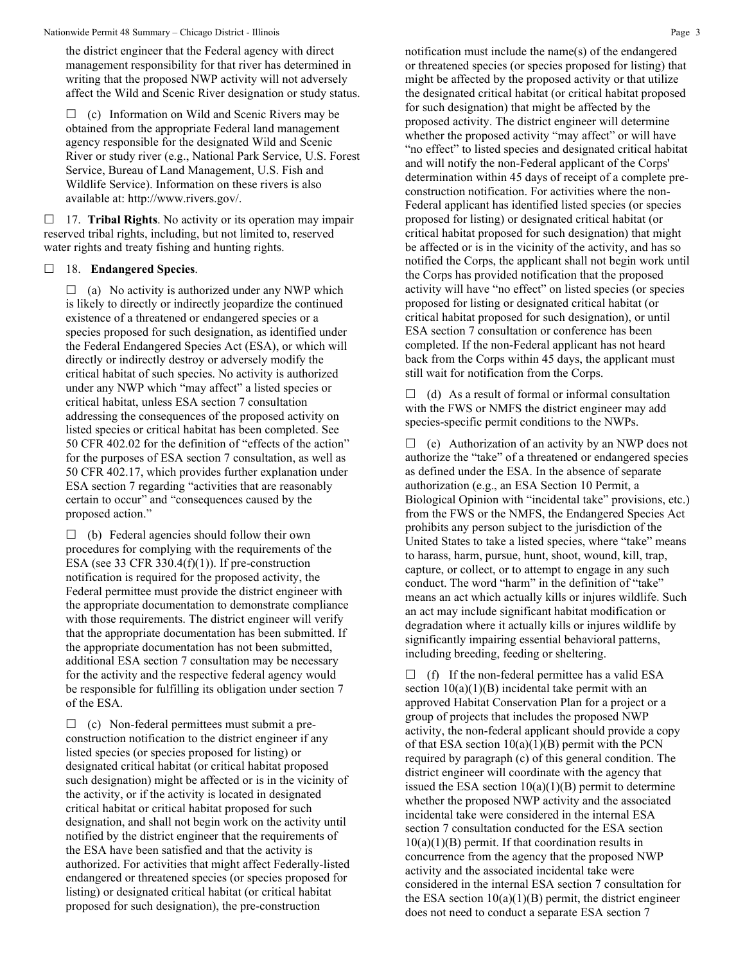the district engineer that the Federal agency with direct management responsibility for that river has determined in writing that the proposed NWP activity will not adversely affect the Wild and Scenic River designation or study status.

 $\Box$  (c) Information on Wild and Scenic Rivers may be obtained from the appropriate Federal land management agency responsible for the designated Wild and Scenic River or study river (e.g., National Park Service, U.S. Forest Service, Bureau of Land Management, U.S. Fish and Wildlife Service). Information on these rivers is also available at: http://www.rivers.gov/.

 17. **Tribal Rights**. No activity or its operation may impair reserved tribal rights, including, but not limited to, reserved water rights and treaty fishing and hunting rights.

## 18. **Endangered Species**.

 $\Box$  (a) No activity is authorized under any NWP which is likely to directly or indirectly jeopardize the continued existence of a threatened or endangered species or a species proposed for such designation, as identified under the Federal Endangered Species Act (ESA), or which will directly or indirectly destroy or adversely modify the critical habitat of such species. No activity is authorized under any NWP which "may affect" a listed species or critical habitat, unless ESA section 7 consultation addressing the consequences of the proposed activity on listed species or critical habitat has been completed. See 50 CFR 402.02 for the definition of "effects of the action" for the purposes of ESA section 7 consultation, as well as 50 CFR 402.17, which provides further explanation under ESA section 7 regarding "activities that are reasonably certain to occur" and "consequences caused by the proposed action."

 $\Box$  (b) Federal agencies should follow their own procedures for complying with the requirements of the ESA (see 33 CFR 330.4(f)(1)). If pre-construction notification is required for the proposed activity, the Federal permittee must provide the district engineer with the appropriate documentation to demonstrate compliance with those requirements. The district engineer will verify that the appropriate documentation has been submitted. If the appropriate documentation has not been submitted, additional ESA section 7 consultation may be necessary for the activity and the respective federal agency would be responsible for fulfilling its obligation under section 7 of the ESA.

 $\Box$  (c) Non-federal permittees must submit a preconstruction notification to the district engineer if any listed species (or species proposed for listing) or designated critical habitat (or critical habitat proposed such designation) might be affected or is in the vicinity of the activity, or if the activity is located in designated critical habitat or critical habitat proposed for such designation, and shall not begin work on the activity until notified by the district engineer that the requirements of the ESA have been satisfied and that the activity is authorized. For activities that might affect Federally-listed endangered or threatened species (or species proposed for listing) or designated critical habitat (or critical habitat proposed for such designation), the pre-construction

notification must include the name(s) of the endangered or threatened species (or species proposed for listing) that might be affected by the proposed activity or that utilize the designated critical habitat (or critical habitat proposed for such designation) that might be affected by the proposed activity. The district engineer will determine whether the proposed activity "may affect" or will have "no effect" to listed species and designated critical habitat and will notify the non-Federal applicant of the Corps' determination within 45 days of receipt of a complete preconstruction notification. For activities where the non-Federal applicant has identified listed species (or species proposed for listing) or designated critical habitat (or critical habitat proposed for such designation) that might be affected or is in the vicinity of the activity, and has so notified the Corps, the applicant shall not begin work until the Corps has provided notification that the proposed activity will have "no effect" on listed species (or species proposed for listing or designated critical habitat (or critical habitat proposed for such designation), or until ESA section 7 consultation or conference has been completed. If the non-Federal applicant has not heard back from the Corps within 45 days, the applicant must still wait for notification from the Corps.

 $\Box$  (d) As a result of formal or informal consultation with the FWS or NMFS the district engineer may add species-specific permit conditions to the NWPs.

 $\Box$  (e) Authorization of an activity by an NWP does not authorize the "take" of a threatened or endangered species as defined under the ESA. In the absence of separate authorization (e.g., an ESA Section 10 Permit, a Biological Opinion with "incidental take" provisions, etc.) from the FWS or the NMFS, the Endangered Species Act prohibits any person subject to the jurisdiction of the United States to take a listed species, where "take" means to harass, harm, pursue, hunt, shoot, wound, kill, trap, capture, or collect, or to attempt to engage in any such conduct. The word "harm" in the definition of "take" means an act which actually kills or injures wildlife. Such an act may include significant habitat modification or degradation where it actually kills or injures wildlife by significantly impairing essential behavioral patterns, including breeding, feeding or sheltering.

 $\Box$  (f) If the non-federal permittee has a valid ESA section  $10(a)(1)(B)$  incidental take permit with an approved Habitat Conservation Plan for a project or a group of projects that includes the proposed NWP activity, the non-federal applicant should provide a copy of that ESA section  $10(a)(1)(B)$  permit with the PCN required by paragraph (c) of this general condition. The district engineer will coordinate with the agency that issued the ESA section  $10(a)(1)(B)$  permit to determine whether the proposed NWP activity and the associated incidental take were considered in the internal ESA section 7 consultation conducted for the ESA section  $10(a)(1)(B)$  permit. If that coordination results in concurrence from the agency that the proposed NWP activity and the associated incidental take were considered in the internal ESA section 7 consultation for the ESA section  $10(a)(1)(B)$  permit, the district engineer does not need to conduct a separate ESA section 7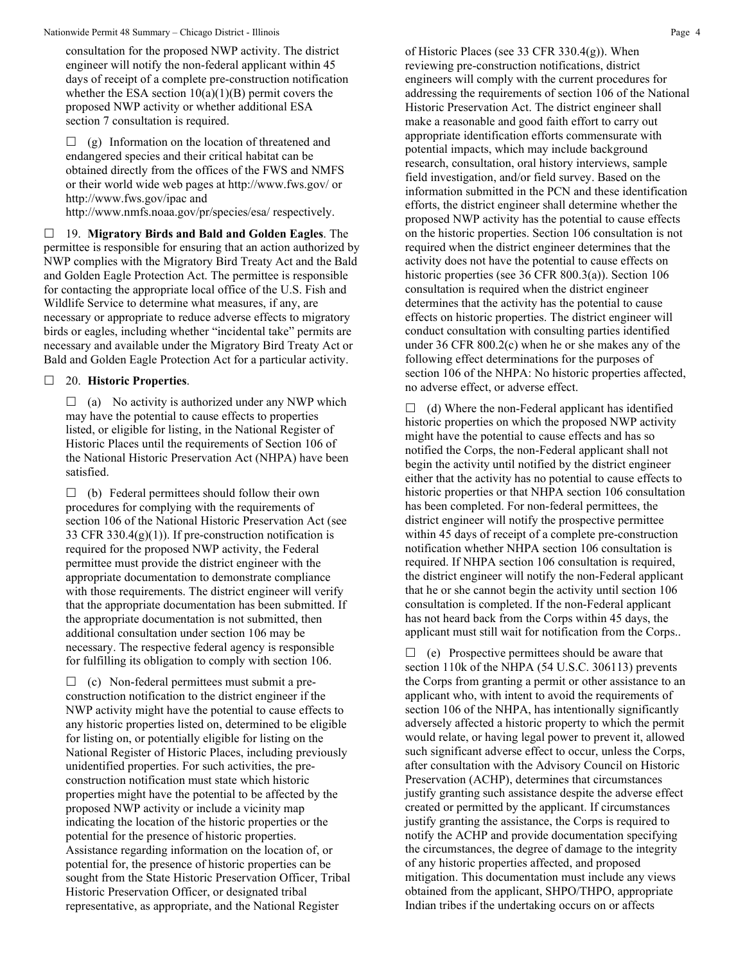consultation for the proposed NWP activity. The district engineer will notify the non-federal applicant within 45 days of receipt of a complete pre-construction notification whether the ESA section  $10(a)(1)(B)$  permit covers the proposed NWP activity or whether additional ESA section 7 consultation is required.

 $\Box$  (g) Information on the location of threatened and endangered species and their critical habitat can be obtained directly from the offices of the FWS and NMFS or their world wide web pages at http://www.fws.gov/ or http://www.fws.gov/ipac and

http://www.nmfs.noaa.gov/pr/species/esa/ respectively.

 19. **Migratory Birds and Bald and Golden Eagles**. The permittee is responsible for ensuring that an action authorized by NWP complies with the Migratory Bird Treaty Act and the Bald and Golden Eagle Protection Act. The permittee is responsible for contacting the appropriate local office of the U.S. Fish and Wildlife Service to determine what measures, if any, are necessary or appropriate to reduce adverse effects to migratory birds or eagles, including whether "incidental take" permits are necessary and available under the Migratory Bird Treaty Act or Bald and Golden Eagle Protection Act for a particular activity.

20. **Historic Properties**.

 $\Box$  (a) No activity is authorized under any NWP which may have the potential to cause effects to properties listed, or eligible for listing, in the National Register of Historic Places until the requirements of Section 106 of the National Historic Preservation Act (NHPA) have been satisfied.

 $\Box$  (b) Federal permittees should follow their own procedures for complying with the requirements of section 106 of the National Historic Preservation Act (see 33 CFR 330.4 $(g)(1)$ ). If pre-construction notification is required for the proposed NWP activity, the Federal permittee must provide the district engineer with the appropriate documentation to demonstrate compliance with those requirements. The district engineer will verify that the appropriate documentation has been submitted. If the appropriate documentation is not submitted, then additional consultation under section 106 may be necessary. The respective federal agency is responsible for fulfilling its obligation to comply with section 106.

 $\Box$  (c) Non-federal permittees must submit a preconstruction notification to the district engineer if the NWP activity might have the potential to cause effects to any historic properties listed on, determined to be eligible for listing on, or potentially eligible for listing on the National Register of Historic Places, including previously unidentified properties. For such activities, the preconstruction notification must state which historic properties might have the potential to be affected by the proposed NWP activity or include a vicinity map indicating the location of the historic properties or the potential for the presence of historic properties. Assistance regarding information on the location of, or potential for, the presence of historic properties can be sought from the State Historic Preservation Officer, Tribal Historic Preservation Officer, or designated tribal representative, as appropriate, and the National Register

of Historic Places (see 33 CFR 330.4(g)). When reviewing pre-construction notifications, district engineers will comply with the current procedures for addressing the requirements of section 106 of the National Historic Preservation Act. The district engineer shall make a reasonable and good faith effort to carry out appropriate identification efforts commensurate with potential impacts, which may include background research, consultation, oral history interviews, sample field investigation, and/or field survey. Based on the information submitted in the PCN and these identification efforts, the district engineer shall determine whether the proposed NWP activity has the potential to cause effects on the historic properties. Section 106 consultation is not required when the district engineer determines that the activity does not have the potential to cause effects on historic properties (see 36 CFR 800.3(a)). Section 106 consultation is required when the district engineer determines that the activity has the potential to cause effects on historic properties. The district engineer will conduct consultation with consulting parties identified under 36 CFR 800.2(c) when he or she makes any of the following effect determinations for the purposes of section 106 of the NHPA: No historic properties affected, no adverse effect, or adverse effect.

 $\Box$  (d) Where the non-Federal applicant has identified historic properties on which the proposed NWP activity might have the potential to cause effects and has so notified the Corps, the non-Federal applicant shall not begin the activity until notified by the district engineer either that the activity has no potential to cause effects to historic properties or that NHPA section 106 consultation has been completed. For non-federal permittees, the district engineer will notify the prospective permittee within 45 days of receipt of a complete pre-construction notification whether NHPA section 106 consultation is required. If NHPA section 106 consultation is required, the district engineer will notify the non-Federal applicant that he or she cannot begin the activity until section 106 consultation is completed. If the non-Federal applicant has not heard back from the Corps within 45 days, the applicant must still wait for notification from the Corps..

 $\Box$  (e) Prospective permittees should be aware that section 110k of the NHPA (54 U.S.C. 306113) prevents the Corps from granting a permit or other assistance to an applicant who, with intent to avoid the requirements of section 106 of the NHPA, has intentionally significantly adversely affected a historic property to which the permit would relate, or having legal power to prevent it, allowed such significant adverse effect to occur, unless the Corps, after consultation with the Advisory Council on Historic Preservation (ACHP), determines that circumstances justify granting such assistance despite the adverse effect created or permitted by the applicant. If circumstances justify granting the assistance, the Corps is required to notify the ACHP and provide documentation specifying the circumstances, the degree of damage to the integrity of any historic properties affected, and proposed mitigation. This documentation must include any views obtained from the applicant, SHPO/THPO, appropriate Indian tribes if the undertaking occurs on or affects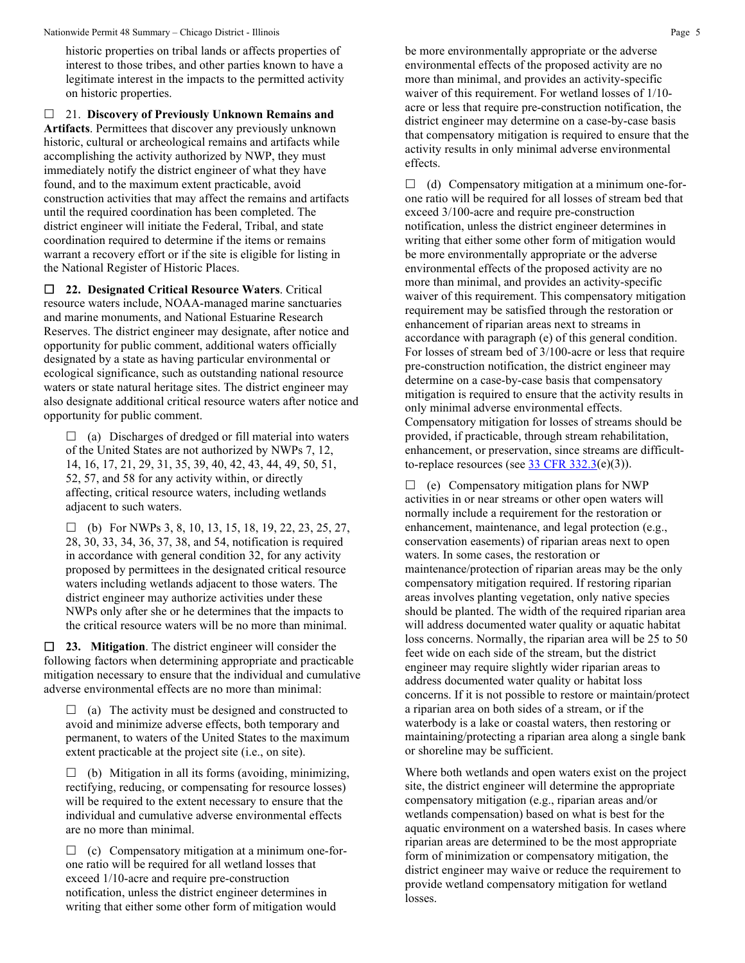historic properties on tribal lands or affects properties of interest to those tribes, and other parties known to have a legitimate interest in the impacts to the permitted activity on historic properties.

 21. **Discovery of Previously Unknown Remains and Artifacts**. Permittees that discover any previously unknown historic, cultural or archeological remains and artifacts while accomplishing the activity authorized by NWP, they must immediately notify the district engineer of what they have found, and to the maximum extent practicable, avoid construction activities that may affect the remains and artifacts until the required coordination has been completed. The district engineer will initiate the Federal, Tribal, and state coordination required to determine if the items or remains warrant a recovery effort or if the site is eligible for listing in the National Register of Historic Places.

 **22. Designated Critical Resource Waters**. Critical resource waters include, NOAA-managed marine sanctuaries and marine monuments, and National Estuarine Research Reserves. The district engineer may designate, after notice and opportunity for public comment, additional waters officially designated by a state as having particular environmental or ecological significance, such as outstanding national resource waters or state natural heritage sites. The district engineer may also designate additional critical resource waters after notice and opportunity for public comment.

 $\Box$  (a) Discharges of dredged or fill material into waters of the United States are not authorized by NWPs 7, 12, 14, 16, 17, 21, 29, 31, 35, 39, 40, 42, 43, 44, 49, 50, 51, 52, 57, and 58 for any activity within, or directly affecting, critical resource waters, including wetlands adjacent to such waters.

 $\Box$  (b) For NWPs 3, 8, 10, 13, 15, 18, 19, 22, 23, 25, 27, 28, 30, 33, 34, 36, 37, 38, and 54, notification is required in accordance with general condition 32, for any activity proposed by permittees in the designated critical resource waters including wetlands adjacent to those waters. The district engineer may authorize activities under these NWPs only after she or he determines that the impacts to the critical resource waters will be no more than minimal.

 **23. Mitigation**. The district engineer will consider the following factors when determining appropriate and practicable mitigation necessary to ensure that the individual and cumulative adverse environmental effects are no more than minimal:

 $\Box$  (a) The activity must be designed and constructed to avoid and minimize adverse effects, both temporary and permanent, to waters of the United States to the maximum extent practicable at the project site (i.e., on site).

 $\Box$  (b) Mitigation in all its forms (avoiding, minimizing, rectifying, reducing, or compensating for resource losses) will be required to the extent necessary to ensure that the individual and cumulative adverse environmental effects are no more than minimal.

 $\Box$  (c) Compensatory mitigation at a minimum one-forone ratio will be required for all wetland losses that exceed 1/10-acre and require pre-construction notification, unless the district engineer determines in writing that either some other form of mitigation would

be more environmentally appropriate or the adverse environmental effects of the proposed activity are no more than minimal, and provides an activity-specific waiver of this requirement. For wetland losses of 1/10 acre or less that require pre-construction notification, the district engineer may determine on a case-by-case basis that compensatory mitigation is required to ensure that the activity results in only minimal adverse environmental effects.

 $\Box$  (d) Compensatory mitigation at a minimum one-forone ratio will be required for all losses of stream bed that exceed 3/100-acre and require pre-construction notification, unless the district engineer determines in writing that either some other form of mitigation would be more environmentally appropriate or the adverse environmental effects of the proposed activity are no more than minimal, and provides an activity-specific waiver of this requirement. This compensatory mitigation requirement may be satisfied through the restoration or enhancement of riparian areas next to streams in accordance with paragraph (e) of this general condition. For losses of stream bed of 3/100-acre or less that require pre-construction notification, the district engineer may determine on a case-by-case basis that compensatory mitigation is required to ensure that the activity results in only minimal adverse environmental effects. Compensatory mitigation for losses of streams should be provided, if practicable, through stream rehabilitation, enhancement, or preservation, since streams are difficultto-replace resources (see  $33 \text{ CFR } 332.3(e)(3)$ ).

 $\Box$  (e) Compensatory mitigation plans for NWP activities in or near streams or other open waters will normally include a requirement for the restoration or enhancement, maintenance, and legal protection (e.g., conservation easements) of riparian areas next to open waters. In some cases, the restoration or maintenance/protection of riparian areas may be the only compensatory mitigation required. If restoring riparian areas involves planting vegetation, only native species should be planted. The width of the required riparian area will address documented water quality or aquatic habitat loss concerns. Normally, the riparian area will be 25 to 50 feet wide on each side of the stream, but the district engineer may require slightly wider riparian areas to address documented water quality or habitat loss concerns. If it is not possible to restore or maintain/protect a riparian area on both sides of a stream, or if the waterbody is a lake or coastal waters, then restoring or maintaining/protecting a riparian area along a single bank or shoreline may be sufficient.

Where both wetlands and open waters exist on the project site, the district engineer will determine the appropriate compensatory mitigation (e.g., riparian areas and/or wetlands compensation) based on what is best for the aquatic environment on a watershed basis. In cases where riparian areas are determined to be the most appropriate form of minimization or compensatory mitigation, the district engineer may waive or reduce the requirement to provide wetland compensatory mitigation for wetland losses.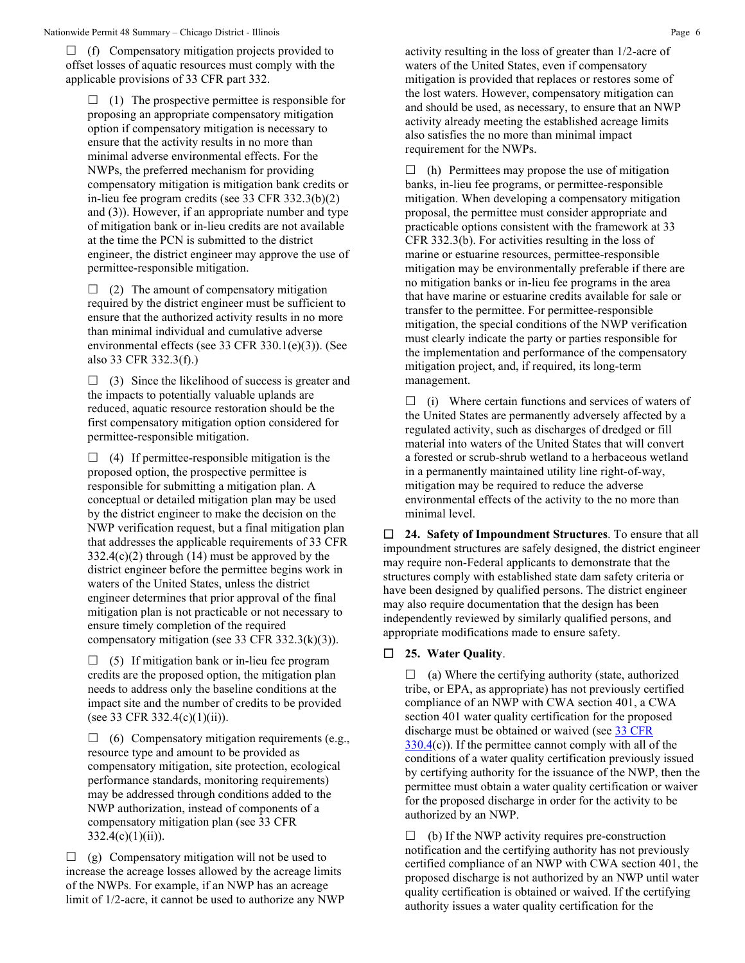$\Box$  (f) Compensatory mitigation projects provided to offset losses of aquatic resources must comply with the applicable provisions of 33 CFR part 332.

 $\Box$  (1) The prospective permittee is responsible for proposing an appropriate compensatory mitigation option if compensatory mitigation is necessary to ensure that the activity results in no more than minimal adverse environmental effects. For the NWPs, the preferred mechanism for providing compensatory mitigation is mitigation bank credits or in-lieu fee program credits (see 33 CFR 332.3(b)(2) and (3)). However, if an appropriate number and type of mitigation bank or in-lieu credits are not available at the time the PCN is submitted to the district engineer, the district engineer may approve the use of permittee-responsible mitigation.

 $\Box$  (2) The amount of compensatory mitigation required by the district engineer must be sufficient to ensure that the authorized activity results in no more than minimal individual and cumulative adverse environmental effects (see 33 CFR 330.1(e)(3)). (See also 33 CFR 332.3(f).)

 $\Box$  (3) Since the likelihood of success is greater and the impacts to potentially valuable uplands are reduced, aquatic resource restoration should be the first compensatory mitigation option considered for permittee-responsible mitigation.

 $\Box$  (4) If permittee-responsible mitigation is the proposed option, the prospective permittee is responsible for submitting a mitigation plan. A conceptual or detailed mitigation plan may be used by the district engineer to make the decision on the NWP verification request, but a final mitigation plan that addresses the applicable requirements of 33 CFR 332.4(c)(2) through (14) must be approved by the district engineer before the permittee begins work in waters of the United States, unless the district engineer determines that prior approval of the final mitigation plan is not practicable or not necessary to ensure timely completion of the required compensatory mitigation (see 33 CFR 332.3(k)(3)).

 $\Box$  (5) If mitigation bank or in-lieu fee program credits are the proposed option, the mitigation plan needs to address only the baseline conditions at the impact site and the number of credits to be provided (see 33 CFR 332.4(c)(1)(ii)).

 $\Box$  (6) Compensatory mitigation requirements (e.g., resource type and amount to be provided as compensatory mitigation, site protection, ecological performance standards, monitoring requirements) may be addressed through conditions added to the NWP authorization, instead of components of a compensatory mitigation plan (see 33 CFR  $332.4(c)(1)(ii)$ ).

 $\Box$  (g) Compensatory mitigation will not be used to increase the acreage losses allowed by the acreage limits of the NWPs. For example, if an NWP has an acreage limit of 1/2-acre, it cannot be used to authorize any NWP activity resulting in the loss of greater than 1/2-acre of waters of the United States, even if compensatory mitigation is provided that replaces or restores some of the lost waters. However, compensatory mitigation can and should be used, as necessary, to ensure that an NWP activity already meeting the established acreage limits also satisfies the no more than minimal impact requirement for the NWPs.

 $\Box$  (h) Permittees may propose the use of mitigation banks, in-lieu fee programs, or permittee-responsible mitigation. When developing a compensatory mitigation proposal, the permittee must consider appropriate and practicable options consistent with the framework at 33 CFR 332.3(b). For activities resulting in the loss of marine or estuarine resources, permittee-responsible mitigation may be environmentally preferable if there are no mitigation banks or in-lieu fee programs in the area that have marine or estuarine credits available for sale or transfer to the permittee. For permittee-responsible mitigation, the special conditions of the NWP verification must clearly indicate the party or parties responsible for the implementation and performance of the compensatory mitigation project, and, if required, its long-term management.

 $\Box$  (i) Where certain functions and services of waters of the United States are permanently adversely affected by a regulated activity, such as discharges of dredged or fill material into waters of the United States that will convert a forested or scrub-shrub wetland to a herbaceous wetland in a permanently maintained utility line right-of-way, mitigation may be required to reduce the adverse environmental effects of the activity to the no more than minimal level.

 **24. Safety of Impoundment Structures**. To ensure that all impoundment structures are safely designed, the district engineer may require non-Federal applicants to demonstrate that the structures comply with established state dam safety criteria or have been designed by qualified persons. The district engineer may also require documentation that the design has been independently reviewed by similarly qualified persons, and appropriate modifications made to ensure safety.

## **25. Water Quality**.

 $\Box$  (a) Where the certifying authority (state, authorized tribe, or EPA, as appropriate) has not previously certified compliance of an NWP with CWA section 401, a CWA section 401 water quality certification for the proposed discharge must be obtained or waived (see [33 CFR](https://www.federalregister.gov/select-citation/2021/01/13/33-CFR-330.4)  [330.4\(](https://www.federalregister.gov/select-citation/2021/01/13/33-CFR-330.4)c)). If the permittee cannot comply with all of the conditions of a water quality certification previously issued by certifying authority for the issuance of the NWP, then the permittee must obtain a water quality certification or waiver for the proposed discharge in order for the activity to be authorized by an NWP.

 $\Box$  (b) If the NWP activity requires pre-construction notification and the certifying authority has not previously certified compliance of an NWP with CWA section 401, the proposed discharge is not authorized by an NWP until water quality certification is obtained or waived. If the certifying authority issues a water quality certification for the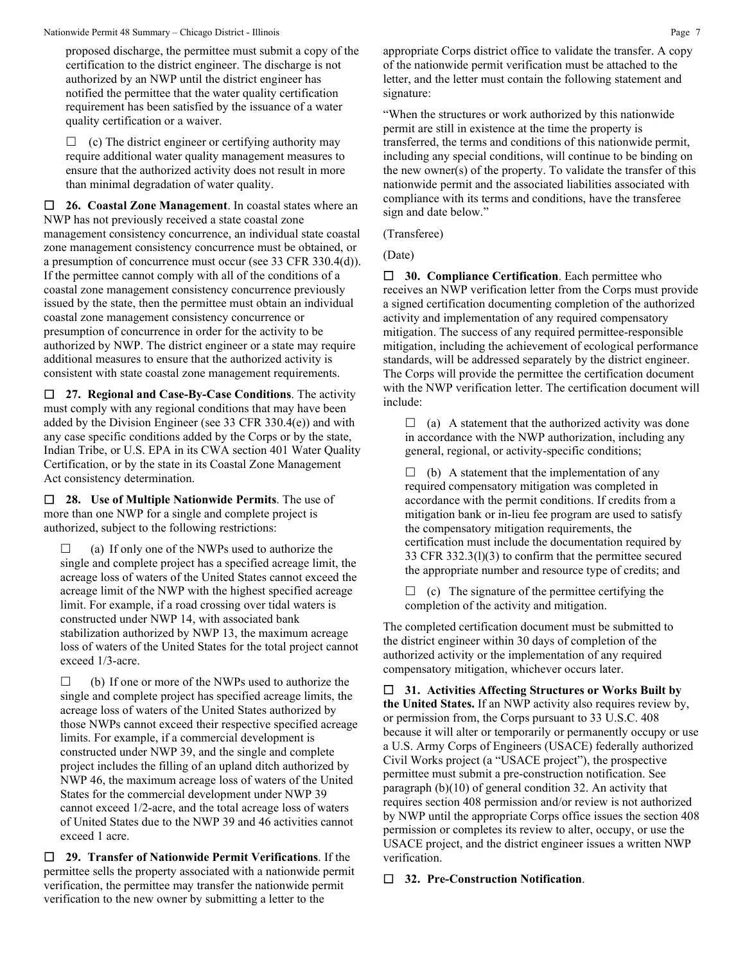proposed discharge, the permittee must submit a copy of the certification to the district engineer. The discharge is not authorized by an NWP until the district engineer has notified the permittee that the water quality certification requirement has been satisfied by the issuance of a water quality certification or a waiver.

 $\Box$  (c) The district engineer or certifying authority may require additional water quality management measures to ensure that the authorized activity does not result in more than minimal degradation of water quality.

 **26. Coastal Zone Management**. In coastal states where an NWP has not previously received a state coastal zone management consistency concurrence, an individual state coastal zone management consistency concurrence must be obtained, or a presumption of concurrence must occur (see 33 CFR 330.4(d)). If the permittee cannot comply with all of the conditions of a coastal zone management consistency concurrence previously issued by the state, then the permittee must obtain an individual coastal zone management consistency concurrence or presumption of concurrence in order for the activity to be authorized by NWP. The district engineer or a state may require additional measures to ensure that the authorized activity is consistent with state coastal zone management requirements.

 **27. Regional and Case-By-Case Conditions**. The activity must comply with any regional conditions that may have been added by the Division Engineer (see 33 CFR 330.4(e)) and with any case specific conditions added by the Corps or by the state, Indian Tribe, or U.S. EPA in its CWA section 401 Water Quality Certification, or by the state in its Coastal Zone Management Act consistency determination.

 **28. Use of Multiple Nationwide Permits**. The use of more than one NWP for a single and complete project is authorized, subject to the following restrictions:

 $\Box$  (a) If only one of the NWPs used to authorize the single and complete project has a specified acreage limit, the acreage loss of waters of the United States cannot exceed the acreage limit of the NWP with the highest specified acreage limit. For example, if a road crossing over tidal waters is constructed under NWP 14, with associated bank stabilization authorized by NWP 13, the maximum acreage loss of waters of the United States for the total project cannot exceed 1/3-acre.

 $\Box$  (b) If one or more of the NWPs used to authorize the single and complete project has specified acreage limits, the acreage loss of waters of the United States authorized by those NWPs cannot exceed their respective specified acreage limits. For example, if a commercial development is constructed under NWP 39, and the single and complete project includes the filling of an upland ditch authorized by NWP 46, the maximum acreage loss of waters of the United States for the commercial development under NWP 39 cannot exceed 1/2-acre, and the total acreage loss of waters of United States due to the NWP 39 and 46 activities cannot exceed 1 acre.

 **29. Transfer of Nationwide Permit Verifications**. If the permittee sells the property associated with a nationwide permit verification, the permittee may transfer the nationwide permit verification to the new owner by submitting a letter to the

"When the structures or work authorized by this nationwide permit are still in existence at the time the property is transferred, the terms and conditions of this nationwide permit, including any special conditions, will continue to be binding on the new owner(s) of the property. To validate the transfer of this nationwide permit and the associated liabilities associated with compliance with its terms and conditions, have the transferee sign and date below."

(Transferee)

(Date)

 **30. Compliance Certification**. Each permittee who receives an NWP verification letter from the Corps must provide a signed certification documenting completion of the authorized activity and implementation of any required compensatory mitigation. The success of any required permittee-responsible mitigation, including the achievement of ecological performance standards, will be addressed separately by the district engineer. The Corps will provide the permittee the certification document with the NWP verification letter. The certification document will include:

 $\Box$  (a) A statement that the authorized activity was done in accordance with the NWP authorization, including any general, regional, or activity-specific conditions;

 $\Box$  (b) A statement that the implementation of any required compensatory mitigation was completed in accordance with the permit conditions. If credits from a mitigation bank or in-lieu fee program are used to satisfy the compensatory mitigation requirements, the certification must include the documentation required by 33 CFR 332.3(l)(3) to confirm that the permittee secured the appropriate number and resource type of credits; and

 $\Box$  (c) The signature of the permittee certifying the completion of the activity and mitigation.

The completed certification document must be submitted to the district engineer within 30 days of completion of the authorized activity or the implementation of any required compensatory mitigation, whichever occurs later.

 **31. Activities Affecting Structures or Works Built by the United States.** If an NWP activity also requires review by, or permission from, the Corps pursuant to 33 U.S.C. 408 because it will alter or temporarily or permanently occupy or use a U.S. Army Corps of Engineers (USACE) federally authorized Civil Works project (a "USACE project"), the prospective permittee must submit a pre-construction notification. See paragraph (b)(10) of general condition 32. An activity that requires section 408 permission and/or review is not authorized by NWP until the appropriate Corps office issues the section 408 permission or completes its review to alter, occupy, or use the USACE project, and the district engineer issues a written NWP verification.

## **32. Pre-Construction Notification**.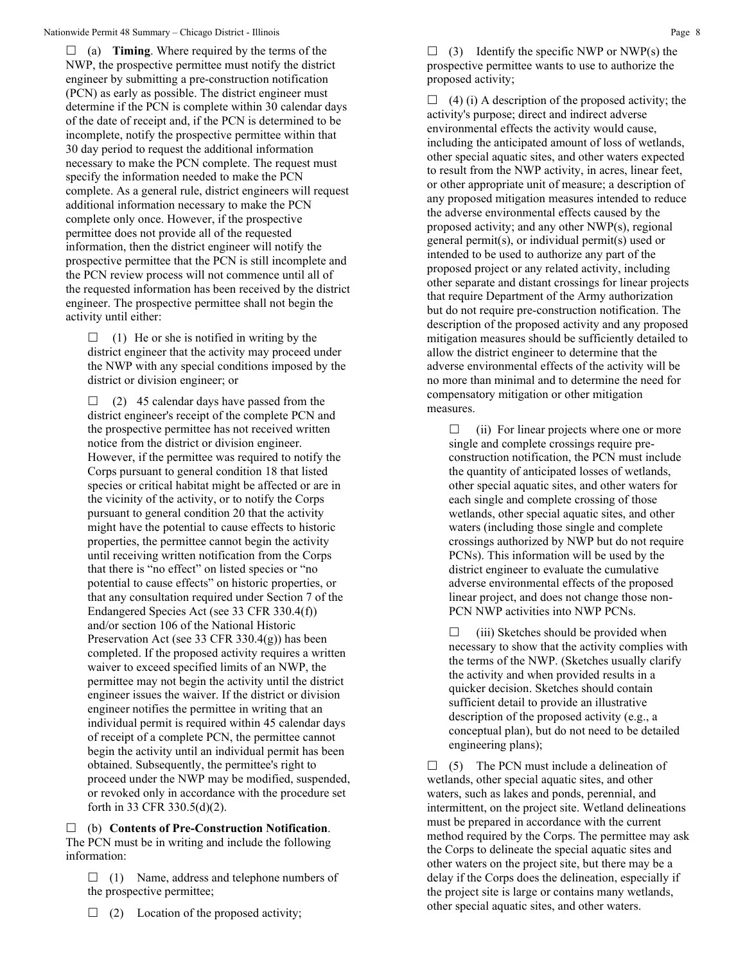$\Box$  (a) **Timing**. Where required by the terms of the NWP, the prospective permittee must notify the district engineer by submitting a pre-construction notification (PCN) as early as possible. The district engineer must determine if the PCN is complete within 30 calendar days of the date of receipt and, if the PCN is determined to be incomplete, notify the prospective permittee within that 30 day period to request the additional information necessary to make the PCN complete. The request must specify the information needed to make the PCN complete. As a general rule, district engineers will request additional information necessary to make the PCN complete only once. However, if the prospective permittee does not provide all of the requested information, then the district engineer will notify the prospective permittee that the PCN is still incomplete and the PCN review process will not commence until all of the requested information has been received by the district engineer. The prospective permittee shall not begin the activity until either:

 $\Box$  (1) He or she is notified in writing by the district engineer that the activity may proceed under the NWP with any special conditions imposed by the district or division engineer; or

 $\Box$  (2) 45 calendar days have passed from the district engineer's receipt of the complete PCN and the prospective permittee has not received written notice from the district or division engineer. However, if the permittee was required to notify the Corps pursuant to general condition 18 that listed species or critical habitat might be affected or are in the vicinity of the activity, or to notify the Corps pursuant to general condition 20 that the activity might have the potential to cause effects to historic properties, the permittee cannot begin the activity until receiving written notification from the Corps that there is "no effect" on listed species or "no potential to cause effects" on historic properties, or that any consultation required under Section 7 of the Endangered Species Act (see 33 CFR 330.4(f)) and/or section 106 of the National Historic Preservation Act (see 33 CFR 330.4(g)) has been completed. If the proposed activity requires a written waiver to exceed specified limits of an NWP, the permittee may not begin the activity until the district engineer issues the waiver. If the district or division engineer notifies the permittee in writing that an individual permit is required within 45 calendar days of receipt of a complete PCN, the permittee cannot begin the activity until an individual permit has been obtained. Subsequently, the permittee's right to proceed under the NWP may be modified, suspended, or revoked only in accordance with the procedure set forth in 33 CFR 330.5(d)(2).

 (b) **Contents of Pre-Construction Notification**. The PCN must be in writing and include the following information:

 $\Box$  (1) Name, address and telephone numbers of the prospective permittee;

 $\Box$  (3) Identify the specific NWP or NWP(s) the prospective permittee wants to use to authorize the proposed activity;

 $\Box$  (4) (i) A description of the proposed activity; the activity's purpose; direct and indirect adverse environmental effects the activity would cause, including the anticipated amount of loss of wetlands, other special aquatic sites, and other waters expected to result from the NWP activity, in acres, linear feet, or other appropriate unit of measure; a description of any proposed mitigation measures intended to reduce the adverse environmental effects caused by the proposed activity; and any other NWP(s), regional general permit(s), or individual permit(s) used or intended to be used to authorize any part of the proposed project or any related activity, including other separate and distant crossings for linear projects that require Department of the Army authorization but do not require pre-construction notification. The description of the proposed activity and any proposed mitigation measures should be sufficiently detailed to allow the district engineer to determine that the adverse environmental effects of the activity will be no more than minimal and to determine the need for compensatory mitigation or other mitigation measures.

 $\Box$  (ii) For linear projects where one or more single and complete crossings require preconstruction notification, the PCN must include the quantity of anticipated losses of wetlands, other special aquatic sites, and other waters for each single and complete crossing of those wetlands, other special aquatic sites, and other waters (including those single and complete crossings authorized by NWP but do not require PCNs). This information will be used by the district engineer to evaluate the cumulative adverse environmental effects of the proposed linear project, and does not change those non-PCN NWP activities into NWP PCNs.

 $\Box$  (iii) Sketches should be provided when necessary to show that the activity complies with the terms of the NWP. (Sketches usually clarify the activity and when provided results in a quicker decision. Sketches should contain sufficient detail to provide an illustrative description of the proposed activity (e.g., a conceptual plan), but do not need to be detailed engineering plans);

 $\Box$  (5) The PCN must include a delineation of wetlands, other special aquatic sites, and other waters, such as lakes and ponds, perennial, and intermittent, on the project site. Wetland delineations must be prepared in accordance with the current method required by the Corps. The permittee may ask the Corps to delineate the special aquatic sites and other waters on the project site, but there may be a delay if the Corps does the delineation, especially if the project site is large or contains many wetlands, other special aquatic sites, and other waters.

 $\Box$  (2) Location of the proposed activity;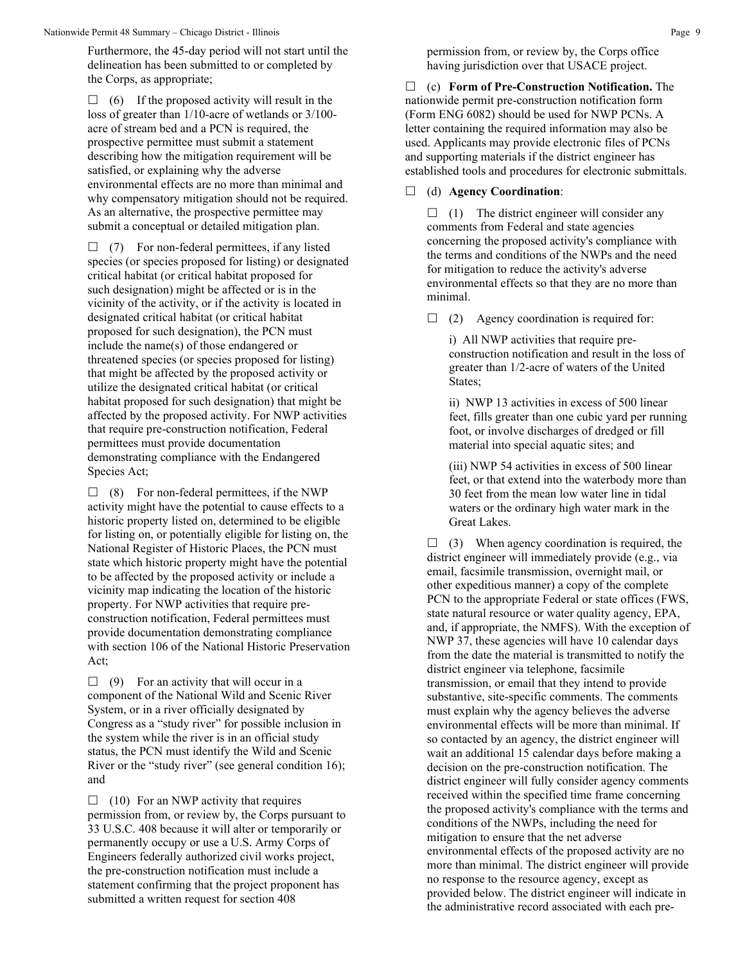Furthermore, the 45-day period will not start until the delineation has been submitted to or completed by the Corps, as appropriate;

 $\Box$  (6) If the proposed activity will result in the loss of greater than 1/10-acre of wetlands or 3/100 acre of stream bed and a PCN is required, the prospective permittee must submit a statement describing how the mitigation requirement will be satisfied, or explaining why the adverse environmental effects are no more than minimal and why compensatory mitigation should not be required. As an alternative, the prospective permittee may submit a conceptual or detailed mitigation plan.

 $\Box$  (7) For non-federal permittees, if any listed species (or species proposed for listing) or designated critical habitat (or critical habitat proposed for such designation) might be affected or is in the vicinity of the activity, or if the activity is located in designated critical habitat (or critical habitat proposed for such designation), the PCN must include the name(s) of those endangered or threatened species (or species proposed for listing) that might be affected by the proposed activity or utilize the designated critical habitat (or critical habitat proposed for such designation) that might be affected by the proposed activity. For NWP activities that require pre-construction notification, Federal permittees must provide documentation demonstrating compliance with the Endangered Species Act;

 $\Box$  (8) For non-federal permittees, if the NWP activity might have the potential to cause effects to a historic property listed on, determined to be eligible for listing on, or potentially eligible for listing on, the National Register of Historic Places, the PCN must state which historic property might have the potential to be affected by the proposed activity or include a vicinity map indicating the location of the historic property. For NWP activities that require preconstruction notification, Federal permittees must provide documentation demonstrating compliance with section 106 of the National Historic Preservation Act;

 $\Box$  (9) For an activity that will occur in a component of the National Wild and Scenic River System, or in a river officially designated by Congress as a "study river" for possible inclusion in the system while the river is in an official study status, the PCN must identify the Wild and Scenic River or the "study river" (see general condition 16); and

 $\Box$  (10) For an NWP activity that requires permission from, or review by, the Corps pursuant to 33 U.S.C. 408 because it will alter or temporarily or permanently occupy or use a U.S. Army Corps of Engineers federally authorized civil works project, the pre-construction notification must include a statement confirming that the project proponent has submitted a written request for section 408

permission from, or review by, the Corps office having jurisdiction over that USACE project.

 (c) **Form of Pre-Construction Notification.** The nationwide permit pre-construction notification form (Form ENG 6082) should be used for NWP PCNs. A letter containing the required information may also be used. Applicants may provide electronic files of PCNs and supporting materials if the district engineer has established tools and procedures for electronic submittals.

(d) **Agency Coordination**:

 $\Box$  (1) The district engineer will consider any comments from Federal and state agencies concerning the proposed activity's compliance with the terms and conditions of the NWPs and the need for mitigation to reduce the activity's adverse environmental effects so that they are no more than minimal.

 $\Box$  (2) Agency coordination is required for:

i) All NWP activities that require preconstruction notification and result in the loss of greater than 1/2-acre of waters of the United States;

ii) NWP 13 activities in excess of 500 linear feet, fills greater than one cubic yard per running foot, or involve discharges of dredged or fill material into special aquatic sites; and

(iii) NWP 54 activities in excess of 500 linear feet, or that extend into the waterbody more than 30 feet from the mean low water line in tidal waters or the ordinary high water mark in the Great Lakes.

 $\Box$  (3) When agency coordination is required, the district engineer will immediately provide (e.g., via email, facsimile transmission, overnight mail, or other expeditious manner) a copy of the complete PCN to the appropriate Federal or state offices (FWS, state natural resource or water quality agency, EPA, and, if appropriate, the NMFS). With the exception of NWP 37, these agencies will have 10 calendar days from the date the material is transmitted to notify the district engineer via telephone, facsimile transmission, or email that they intend to provide substantive, site-specific comments. The comments must explain why the agency believes the adverse environmental effects will be more than minimal. If so contacted by an agency, the district engineer will wait an additional 15 calendar days before making a decision on the pre-construction notification. The district engineer will fully consider agency comments received within the specified time frame concerning the proposed activity's compliance with the terms and conditions of the NWPs, including the need for mitigation to ensure that the net adverse environmental effects of the proposed activity are no more than minimal. The district engineer will provide no response to the resource agency, except as provided below. The district engineer will indicate in the administrative record associated with each pre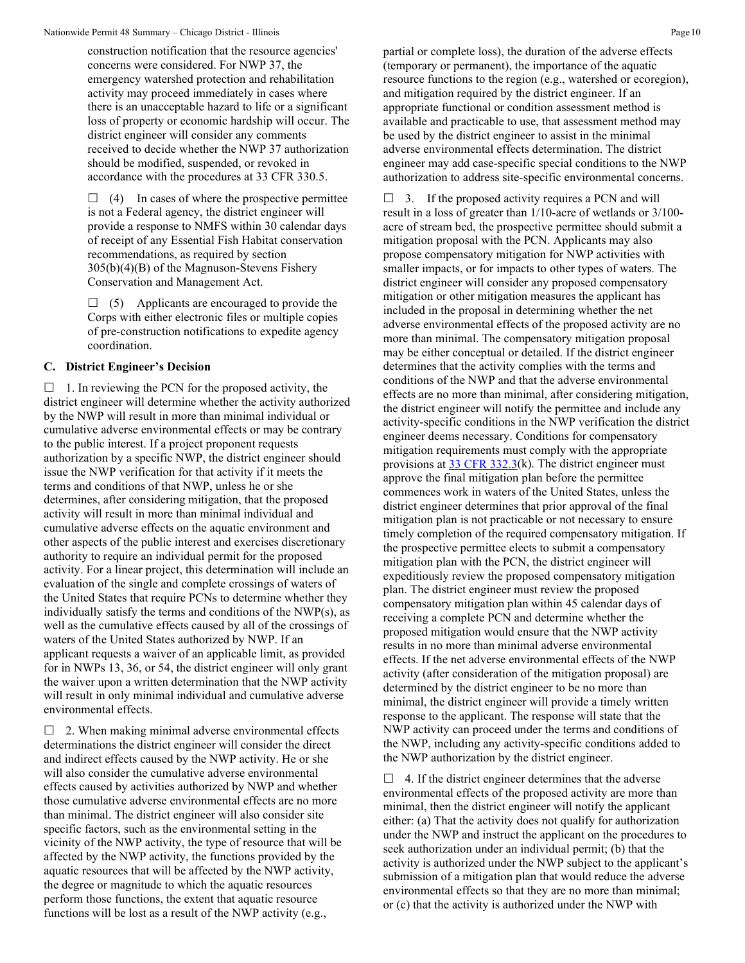construction notification that the resource agencies' concerns were considered. For NWP 37, the emergency watershed protection and rehabilitation activity may proceed immediately in cases where there is an unacceptable hazard to life or a significant loss of property or economic hardship will occur. The district engineer will consider any comments received to decide whether the NWP 37 authorization should be modified, suspended, or revoked in accordance with the procedures at 33 CFR 330.5.

 $\Box$  (4) In cases of where the prospective permittee is not a Federal agency, the district engineer will provide a response to NMFS within 30 calendar days of receipt of any Essential Fish Habitat conservation recommendations, as required by section 305(b)(4)(B) of the Magnuson-Stevens Fishery Conservation and Management Act.

 $\Box$  (5) Applicants are encouraged to provide the Corps with either electronic files or multiple copies of pre-construction notifications to expedite agency coordination.

## **C. District Engineer's Decision**

 $\Box$  1. In reviewing the PCN for the proposed activity, the district engineer will determine whether the activity authorized by the NWP will result in more than minimal individual or cumulative adverse environmental effects or may be contrary to the public interest. If a project proponent requests authorization by a specific NWP, the district engineer should issue the NWP verification for that activity if it meets the terms and conditions of that NWP, unless he or she determines, after considering mitigation, that the proposed activity will result in more than minimal individual and cumulative adverse effects on the aquatic environment and other aspects of the public interest and exercises discretionary authority to require an individual permit for the proposed activity. For a linear project, this determination will include an evaluation of the single and complete crossings of waters of the United States that require PCNs to determine whether they individually satisfy the terms and conditions of the NWP(s), as well as the cumulative effects caused by all of the crossings of waters of the United States authorized by NWP. If an applicant requests a waiver of an applicable limit, as provided for in NWPs 13, 36, or 54, the district engineer will only grant the waiver upon a written determination that the NWP activity will result in only minimal individual and cumulative adverse environmental effects.

 $\Box$  2. When making minimal adverse environmental effects determinations the district engineer will consider the direct and indirect effects caused by the NWP activity. He or she will also consider the cumulative adverse environmental effects caused by activities authorized by NWP and whether those cumulative adverse environmental effects are no more than minimal. The district engineer will also consider site specific factors, such as the environmental setting in the vicinity of the NWP activity, the type of resource that will be affected by the NWP activity, the functions provided by the aquatic resources that will be affected by the NWP activity, the degree or magnitude to which the aquatic resources perform those functions, the extent that aquatic resource functions will be lost as a result of the NWP activity (e.g.,

partial or complete loss), the duration of the adverse effects (temporary or permanent), the importance of the aquatic resource functions to the region (e.g., watershed or ecoregion), and mitigation required by the district engineer. If an appropriate functional or condition assessment method is available and practicable to use, that assessment method may be used by the district engineer to assist in the minimal adverse environmental effects determination. The district engineer may add case-specific special conditions to the NWP authorization to address site-specific environmental concerns.

 $\Box$  3. If the proposed activity requires a PCN and will result in a loss of greater than 1/10-acre of wetlands or 3/100 acre of stream bed, the prospective permittee should submit a mitigation proposal with the PCN. Applicants may also propose compensatory mitigation for NWP activities with smaller impacts, or for impacts to other types of waters. The district engineer will consider any proposed compensatory mitigation or other mitigation measures the applicant has included in the proposal in determining whether the net adverse environmental effects of the proposed activity are no more than minimal. The compensatory mitigation proposal may be either conceptual or detailed. If the district engineer determines that the activity complies with the terms and conditions of the NWP and that the adverse environmental effects are no more than minimal, after considering mitigation, the district engineer will notify the permittee and include any activity-specific conditions in the NWP verification the district engineer deems necessary. Conditions for compensatory mitigation requirements must comply with the appropriate provisions at  $33 \text{ CFR } 332.3$ (k). The district engineer must approve the final mitigation plan before the permittee commences work in waters of the United States, unless the district engineer determines that prior approval of the final mitigation plan is not practicable or not necessary to ensure timely completion of the required compensatory mitigation. If the prospective permittee elects to submit a compensatory mitigation plan with the PCN, the district engineer will expeditiously review the proposed compensatory mitigation plan. The district engineer must review the proposed compensatory mitigation plan within 45 calendar days of receiving a complete PCN and determine whether the proposed mitigation would ensure that the NWP activity results in no more than minimal adverse environmental effects. If the net adverse environmental effects of the NWP activity (after consideration of the mitigation proposal) are determined by the district engineer to be no more than minimal, the district engineer will provide a timely written response to the applicant. The response will state that the NWP activity can proceed under the terms and conditions of the NWP, including any activity-specific conditions added to the NWP authorization by the district engineer.

 $\Box$  4. If the district engineer determines that the adverse environmental effects of the proposed activity are more than minimal, then the district engineer will notify the applicant either: (a) That the activity does not qualify for authorization under the NWP and instruct the applicant on the procedures to seek authorization under an individual permit; (b) that the activity is authorized under the NWP subject to the applicant's submission of a mitigation plan that would reduce the adverse environmental effects so that they are no more than minimal; or (c) that the activity is authorized under the NWP with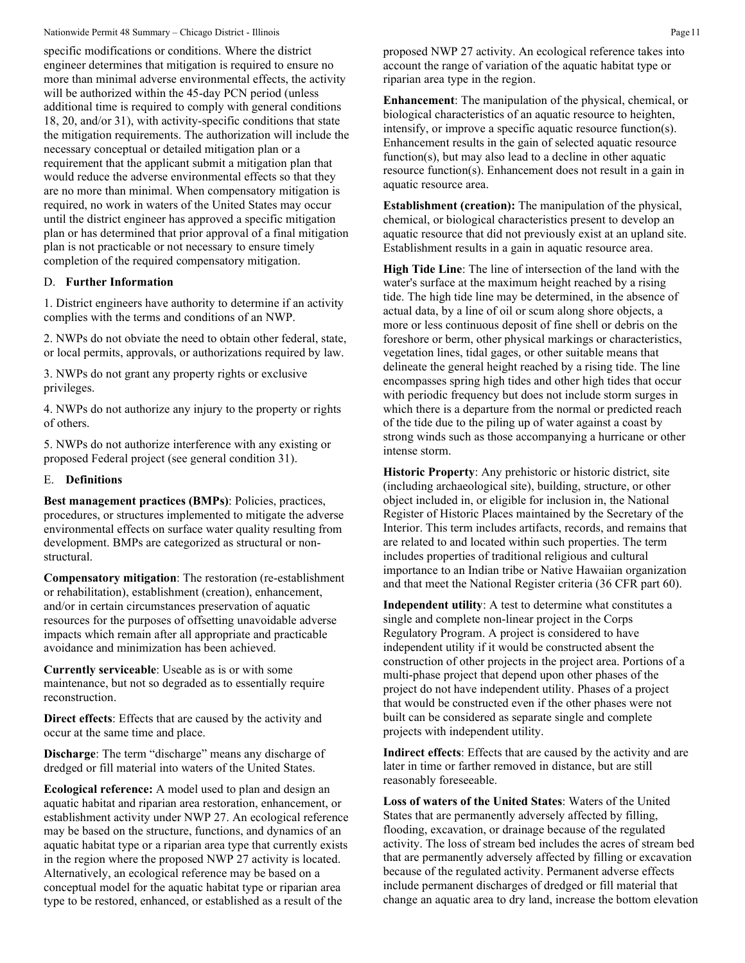specific modifications or conditions. Where the district engineer determines that mitigation is required to ensure no more than minimal adverse environmental effects, the activity will be authorized within the 45-day PCN period (unless additional time is required to comply with general conditions 18, 20, and/or 31), with activity-specific conditions that state the mitigation requirements. The authorization will include the necessary conceptual or detailed mitigation plan or a requirement that the applicant submit a mitigation plan that would reduce the adverse environmental effects so that they are no more than minimal. When compensatory mitigation is required, no work in waters of the United States may occur until the district engineer has approved a specific mitigation plan or has determined that prior approval of a final mitigation plan is not practicable or not necessary to ensure timely completion of the required compensatory mitigation.

## D. **Further Information**

1. District engineers have authority to determine if an activity complies with the terms and conditions of an NWP.

2. NWPs do not obviate the need to obtain other federal, state, or local permits, approvals, or authorizations required by law.

3. NWPs do not grant any property rights or exclusive privileges.

4. NWPs do not authorize any injury to the property or rights of others.

5. NWPs do not authorize interference with any existing or proposed Federal project (see general condition 31).

#### E. **Definitions**

**Best management practices (BMPs)**: Policies, practices, procedures, or structures implemented to mitigate the adverse environmental effects on surface water quality resulting from development. BMPs are categorized as structural or nonstructural.

**Compensatory mitigation**: The restoration (re-establishment or rehabilitation), establishment (creation), enhancement, and/or in certain circumstances preservation of aquatic resources for the purposes of offsetting unavoidable adverse impacts which remain after all appropriate and practicable avoidance and minimization has been achieved.

**Currently serviceable**: Useable as is or with some maintenance, but not so degraded as to essentially require reconstruction.

**Direct effects**: Effects that are caused by the activity and occur at the same time and place.

**Discharge**: The term "discharge" means any discharge of dredged or fill material into waters of the United States.

**Ecological reference:** A model used to plan and design an aquatic habitat and riparian area restoration, enhancement, or establishment activity under NWP 27. An ecological reference may be based on the structure, functions, and dynamics of an aquatic habitat type or a riparian area type that currently exists in the region where the proposed NWP 27 activity is located. Alternatively, an ecological reference may be based on a conceptual model for the aquatic habitat type or riparian area type to be restored, enhanced, or established as a result of the

**Enhancement**: The manipulation of the physical, chemical, or biological characteristics of an aquatic resource to heighten, intensify, or improve a specific aquatic resource function(s). Enhancement results in the gain of selected aquatic resource function(s), but may also lead to a decline in other aquatic resource function(s). Enhancement does not result in a gain in aquatic resource area.

**Establishment (creation):** The manipulation of the physical, chemical, or biological characteristics present to develop an aquatic resource that did not previously exist at an upland site. Establishment results in a gain in aquatic resource area.

**High Tide Line**: The line of intersection of the land with the water's surface at the maximum height reached by a rising tide. The high tide line may be determined, in the absence of actual data, by a line of oil or scum along shore objects, a more or less continuous deposit of fine shell or debris on the foreshore or berm, other physical markings or characteristics, vegetation lines, tidal gages, or other suitable means that delineate the general height reached by a rising tide. The line encompasses spring high tides and other high tides that occur with periodic frequency but does not include storm surges in which there is a departure from the normal or predicted reach of the tide due to the piling up of water against a coast by strong winds such as those accompanying a hurricane or other intense storm.

**Historic Property**: Any prehistoric or historic district, site (including archaeological site), building, structure, or other object included in, or eligible for inclusion in, the National Register of Historic Places maintained by the Secretary of the Interior. This term includes artifacts, records, and remains that are related to and located within such properties. The term includes properties of traditional religious and cultural importance to an Indian tribe or Native Hawaiian organization and that meet the National Register criteria (36 CFR part 60).

**Independent utility**: A test to determine what constitutes a single and complete non-linear project in the Corps Regulatory Program. A project is considered to have independent utility if it would be constructed absent the construction of other projects in the project area. Portions of a multi-phase project that depend upon other phases of the project do not have independent utility. Phases of a project that would be constructed even if the other phases were not built can be considered as separate single and complete projects with independent utility.

**Indirect effects**: Effects that are caused by the activity and are later in time or farther removed in distance, but are still reasonably foreseeable.

**Loss of waters of the United States**: Waters of the United States that are permanently adversely affected by filling, flooding, excavation, or drainage because of the regulated activity. The loss of stream bed includes the acres of stream bed that are permanently adversely affected by filling or excavation because of the regulated activity. Permanent adverse effects include permanent discharges of dredged or fill material that change an aquatic area to dry land, increase the bottom elevation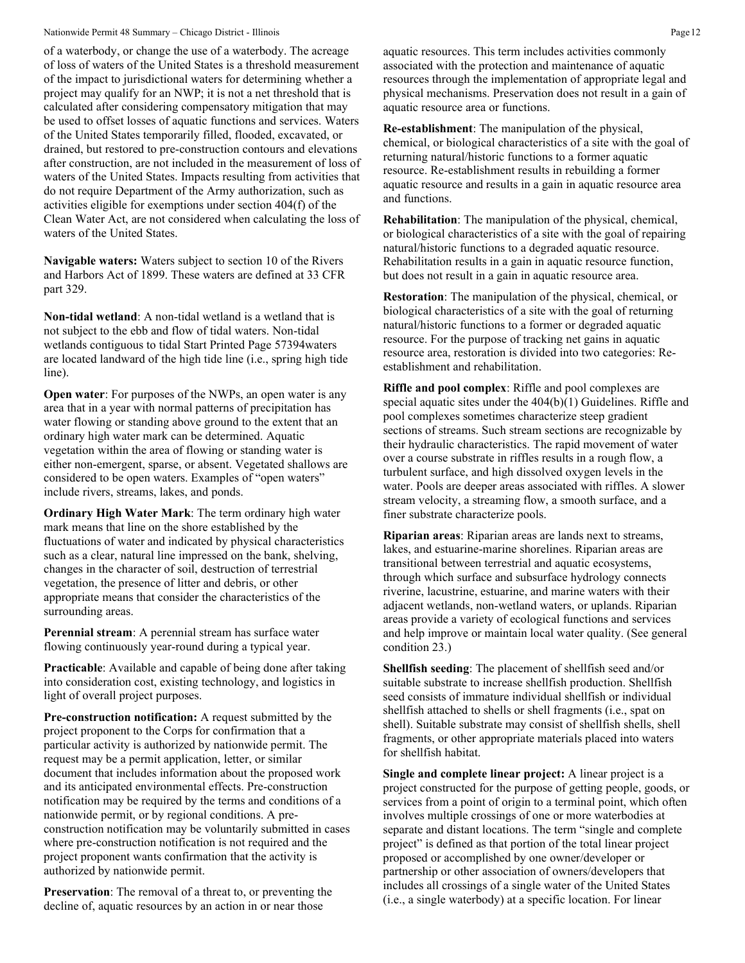#### Nationwide Permit 48 Summary – Chicago District - Illinois Page 12

of a waterbody, or change the use of a waterbody. The acreage of loss of waters of the United States is a threshold measurement of the impact to jurisdictional waters for determining whether a project may qualify for an NWP; it is not a net threshold that is calculated after considering compensatory mitigation that may be used to offset losses of aquatic functions and services. Waters of the United States temporarily filled, flooded, excavated, or drained, but restored to pre-construction contours and elevations after construction, are not included in the measurement of loss of waters of the United States. Impacts resulting from activities that do not require Department of the Army authorization, such as activities eligible for exemptions under section 404(f) of the Clean Water Act, are not considered when calculating the loss of waters of the United States.

**Navigable waters:** Waters subject to section 10 of the Rivers and Harbors Act of 1899. These waters are defined at 33 CFR part 329.

**Non-tidal wetland**: A non-tidal wetland is a wetland that is not subject to the ebb and flow of tidal waters. Non-tidal wetlands contiguous to tidal Start Printed Page 57394waters are located landward of the high tide line (i.e., spring high tide line).

**Open water:** For purposes of the NWPs, an open water is any area that in a year with normal patterns of precipitation has water flowing or standing above ground to the extent that an ordinary high water mark can be determined. Aquatic vegetation within the area of flowing or standing water is either non-emergent, sparse, or absent. Vegetated shallows are considered to be open waters. Examples of "open waters" include rivers, streams, lakes, and ponds.

**Ordinary High Water Mark**: The term ordinary high water mark means that line on the shore established by the fluctuations of water and indicated by physical characteristics such as a clear, natural line impressed on the bank, shelving, changes in the character of soil, destruction of terrestrial vegetation, the presence of litter and debris, or other appropriate means that consider the characteristics of the surrounding areas.

**Perennial stream**: A perennial stream has surface water flowing continuously year-round during a typical year.

**Practicable**: Available and capable of being done after taking into consideration cost, existing technology, and logistics in light of overall project purposes.

**Pre-construction notification:** A request submitted by the project proponent to the Corps for confirmation that a particular activity is authorized by nationwide permit. The request may be a permit application, letter, or similar document that includes information about the proposed work and its anticipated environmental effects. Pre-construction notification may be required by the terms and conditions of a nationwide permit, or by regional conditions. A preconstruction notification may be voluntarily submitted in cases where pre-construction notification is not required and the project proponent wants confirmation that the activity is authorized by nationwide permit.

**Preservation**: The removal of a threat to, or preventing the decline of, aquatic resources by an action in or near those

aquatic resources. This term includes activities commonly associated with the protection and maintenance of aquatic resources through the implementation of appropriate legal and physical mechanisms. Preservation does not result in a gain of aquatic resource area or functions.

**Re-establishment**: The manipulation of the physical, chemical, or biological characteristics of a site with the goal of returning natural/historic functions to a former aquatic resource. Re-establishment results in rebuilding a former aquatic resource and results in a gain in aquatic resource area and functions.

**Rehabilitation**: The manipulation of the physical, chemical, or biological characteristics of a site with the goal of repairing natural/historic functions to a degraded aquatic resource. Rehabilitation results in a gain in aquatic resource function, but does not result in a gain in aquatic resource area.

**Restoration**: The manipulation of the physical, chemical, or biological characteristics of a site with the goal of returning natural/historic functions to a former or degraded aquatic resource. For the purpose of tracking net gains in aquatic resource area, restoration is divided into two categories: Reestablishment and rehabilitation.

**Riffle and pool complex**: Riffle and pool complexes are special aquatic sites under the 404(b)(1) Guidelines. Riffle and pool complexes sometimes characterize steep gradient sections of streams. Such stream sections are recognizable by their hydraulic characteristics. The rapid movement of water over a course substrate in riffles results in a rough flow, a turbulent surface, and high dissolved oxygen levels in the water. Pools are deeper areas associated with riffles. A slower stream velocity, a streaming flow, a smooth surface, and a finer substrate characterize pools.

**Riparian areas**: Riparian areas are lands next to streams, lakes, and estuarine-marine shorelines. Riparian areas are transitional between terrestrial and aquatic ecosystems, through which surface and subsurface hydrology connects riverine, lacustrine, estuarine, and marine waters with their adjacent wetlands, non-wetland waters, or uplands. Riparian areas provide a variety of ecological functions and services and help improve or maintain local water quality. (See general condition 23.)

**Shellfish seeding**: The placement of shellfish seed and/or suitable substrate to increase shellfish production. Shellfish seed consists of immature individual shellfish or individual shellfish attached to shells or shell fragments (i.e., spat on shell). Suitable substrate may consist of shellfish shells, shell fragments, or other appropriate materials placed into waters for shellfish habitat.

**Single and complete linear project:** A linear project is a project constructed for the purpose of getting people, goods, or services from a point of origin to a terminal point, which often involves multiple crossings of one or more waterbodies at separate and distant locations. The term "single and complete project" is defined as that portion of the total linear project proposed or accomplished by one owner/developer or partnership or other association of owners/developers that includes all crossings of a single water of the United States (i.e., a single waterbody) at a specific location. For linear